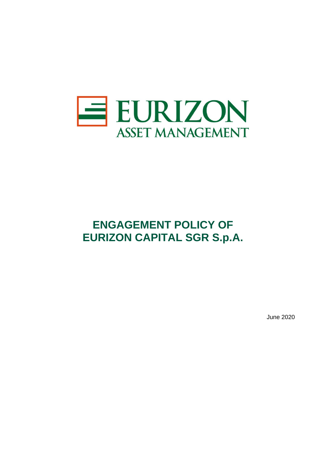

# **ENGAGEMENT POLICY OF EURIZON CAPITAL SGR S.p.A.**

June 2020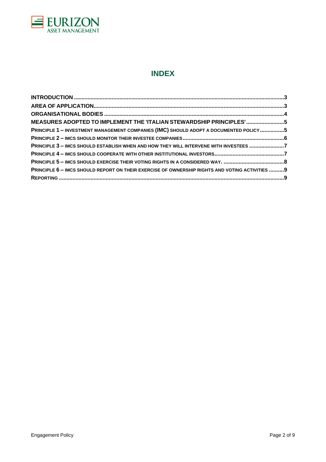

## **INDEX**

| MEASURES ADOPTED TO IMPLEMENT THE 'ITALIAN STEWARDSHIP PRINCIPLES' 5                            |  |
|-------------------------------------------------------------------------------------------------|--|
| PRINCIPLE 1 - INVESTMENT MANAGEMENT COMPANIES (IMC) SHOULD ADOPT A DOCUMENTED POLICY5           |  |
|                                                                                                 |  |
| PRINCIPLE 3 - IMCS SHOULD ESTABLISH WHEN AND HOW THEY WILL INTERVENE WITH INVESTEES 7           |  |
|                                                                                                 |  |
|                                                                                                 |  |
| PRINCIPLE 6 - IMCS SHOULD REPORT ON THEIR EXERCISE OF OWNERSHIP RIGHTS AND VOTING ACTIVITIES  9 |  |
|                                                                                                 |  |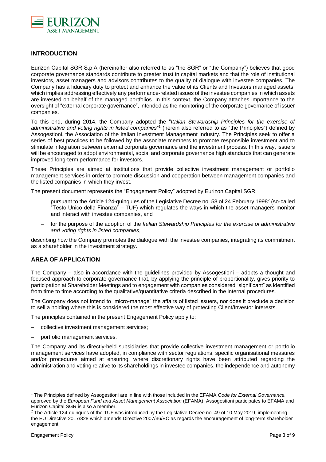

## <span id="page-2-0"></span>**INTRODUCTION**

Eurizon Capital SGR S.p.A (hereinafter also referred to as "the SGR" or "the Company") believes that good corporate governance standards contribute to greater trust in capital markets and that the role of institutional investors, asset managers and advisors contributes to the quality of dialogue with investee companies. The Company has a fiduciary duty to protect and enhance the value of its Clients and Investors managed assets, which implies addressing effectively any performance-related issues of the investee companies in which assets are invested on behalf of the managed portfolios. In this context, the Company attaches importance to the oversight of "external corporate governance", intended as the monitoring of the corporate governance of issuer companies.

To this end, during 2014, the Company adopted the "*Italian Stewardship Principles for the exercise of*  administrative and voting rights in listed companies<sup>"1</sup> (herein also referred to as "the Principles") defined by Assogestioni, the Association of the Italian Investment Management Industry. The Principles seek to offer a series of best practices to be followed by the associate members to promote responsible investment and to stimulate integration between external corporate governance and the investment process. In this way, issuers will be encouraged to adopt environmental, social and corporate governance high standards that can generate improved long-term performance for investors.

These Principles are aimed at institutions that provide collective investment management or portfolio management services in order to promote discussion and cooperation between management companies and the listed companies in which they invest.

The present document represents the "Engagement Policy" adopted by Eurizon Capital SGR:

- − pursuant to the Article 124-quinquies of the Legislative Decree no. 58 of 24 February 1998<sup>2</sup> (so-called "Testo Unico della Finanza" – TUF) which regulates the ways in which the asset managers monitor and interact with investee companies, and
- − for the purpose of the adoption of the *Italian Stewardship Principles for the exercise of administrative and voting rights in listed companies*,

describing how the Company promotes the dialogue with the investee companies, integrating its commitment as a shareholder in the investment strategy.

## <span id="page-2-1"></span>**AREA OF APPLICATION**

The Company – also in accordance with the guidelines provided by Assogestioni – adopts a thought and focused approach to corporate governance that, by applying the principle of proportionality, gives priority to participation at Shareholder Meetings and to engagement with companies considered "significant" as identified from time to time according to the qualitative/quantitative criteria described in the internal procedures.

The Company does not intend to "micro-manage" the affairs of listed issuers, nor does it preclude a decision to sell a holding where this is considered the most effective way of protecting Client/Investor interests.

The principles contained in the present Engagement Policy apply to:

- collective investment management services;
- portfolio management services.

The Company and its directly-held subsidiaries that provide collective investment management or portfolio management services have adopted, in compliance with sector regulations, specific organisational measures and/or procedures aimed at ensuring, where discretionary rights have been attributed regarding the administration and voting relative to its shareholdings in investee companies, the independence and autonomy

 $\overline{a}$ 

<sup>1</sup> The Principles defined by Assogestioni are in line with those included in the EFAMA *Code for External Governance,* approved by the *European Fund and Asset Management Association* (EFAMA). Assogestioni participates to EFAMA and Eurizon Capital SGR is also a member.

 $2$  The Article 124-quinques of the TUF was introduced by the Legislative Decree no. 49 of 10 May 2019, implementing the EU Directive 2017/828 which amends Directive 2007/36/EC as regards the encouragement of long-term shareholder engagement.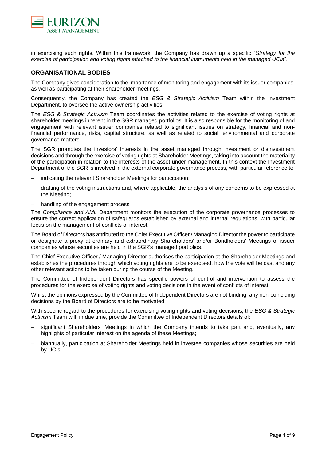

in exercising such rights. Within this framework, the Company has drawn up a specific "*Strategy for the exercise of participation and voting rights attached to the financial instruments held in the managed UCIs*".

### <span id="page-3-0"></span>**ORGANISATIONAL BODIES**

The Company gives consideration to the importance of monitoring and engagement with its issuer companies, as well as participating at their shareholder meetings.

Consequently, the Company has created the *ESG & Strategic Activism* Team within the Investment Department, to oversee the active ownership activities.

The *ESG & Strategic Activism* Team coordinates the activities related to the exercise of voting rights at shareholder meetings inherent in the SGR managed portfolios. It is also responsible for the monitoring of and engagement with relevant issuer companies related to significant issues on strategy, financial and nonfinancial performance, risks, capital structure, as well as related to social, environmental and corporate governance matters.

The SGR promotes the investors' interests in the asset managed through investment or disinvestment decisions and through the exercise of voting rights at Shareholder Meetings, taking into account the materiality of the participation in relation to the interests of the asset under management. In this context the Investment Department of the SGR is involved in the external corporate governance process, with particular reference to:

- indicating the relevant Shareholder Meetings for participation;
- − drafting of the voting instructions and, where applicable, the analysis of any concerns to be expressed at the Meeting;
- − handling of the engagement process*.*

The *Compliance and AML* Department monitors the execution of the corporate governance processes to ensure the correct application of safeguards established by external and internal regulations, with particular focus on the management of conflicts of interest.

The Board of Directors has attributed to the Chief Executive Officer / Managing Director the power to participate or designate a proxy at ordinary and extraordinary Shareholders' and/or Bondholders' Meetings of issuer companies whose securities are held in the SGR's managed portfolios.

The Chief Executive Officer / Managing Director authorises the participation at the Shareholder Meetings and establishes the procedures through which voting rights are to be exercised, how the vote will be cast and any other relevant actions to be taken during the course of the Meeting.

The Committee of Independent Directors has specific powers of control and intervention to assess the procedures for the exercise of voting rights and voting decisions in the event of conflicts of interest.

Whilst the opinions expressed by the Committee of Independent Directors are not binding, any non-coinciding decisions by the Board of Directors are to be motivated.

With specific regard to the procedures for exercising voting rights and voting decisions, the *ESG & Strategic Activism* Team will, in due time, provide the Committee of Independent Directors details of:

- significant Shareholders' Meetings in which the Company intends to take part and, eventually, any highlights of particular interest on the agenda of these Meetings;
- − biannually, participation at Shareholder Meetings held in investee companies whose securities are held by UCIs.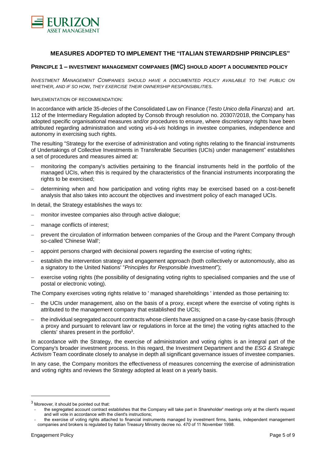

## **MEASURES ADOPTED TO IMPLEMENT THE "ITALIAN STEWARDSHIP PRINCIPLES"**

## <span id="page-4-1"></span><span id="page-4-0"></span>**PRINCIPLE 1 – INVESTMENT MANAGEMENT COMPANIES (IMC) SHOULD ADOPT A DOCUMENTED POLICY**

*INVESTMENT MANAGEMENT COMPANIES SHOULD HAVE A DOCUMENTED POLICY AVAILABLE TO THE PUBLIC ON WHETHER, AND IF SO HOW, THEY EXERCISE THEIR OWNERSHIP RESPONSIBILITIES.*

#### IMPLEMENTATION OF RECOMMENDATION:

In accordance with article 35-*decies* of the Consolidated Law on Finance (*Testo Unico della Finanza*) and art. 112 of the Intermediary Regulation adopted by Consob through resolution no. 20307/2018, the Company has adopted specific organisational measures and/or procedures to ensure, where discretionary rights have been attributed regarding administration and voting *vis-à-vis* holdings in investee companies, independence and autonomy in exercising such rights.

The resulting "Strategy for the exercise of administration and voting rights relating to the financial instruments of Undertakings of Collective Investments in Transferable Securities (UCIs) under management" establishes a set of procedures and measures aimed at:

- monitoring the company's activities pertaining to the financial instruments held in the portfolio of the managed UCIs, when this is required by the characteristics of the financial instruments incorporating the rights to be exercised;
- − determining when and how participation and voting rights may be exercised based on a cost-benefit analysis that also takes into account the objectives and investment policy of each managed UCIs.

In detail, the Strategy establishes the ways to:

- − monitor investee companies also through active dialogue;
- manage conflicts of interest;
- prevent the circulation of information between companies of the Group and the Parent Company through so-called 'Chinese Wall';
- appoint persons charged with decisional powers regarding the exercise of voting rights;
- establish the intervention strategy and engagement approach (both collectively or autonomously, also as a signatory to the United Nations' "*Principles for Responsible Investment*");
- exercise voting rights (the possibility of designating voting rights to specialised companies and the use of postal or electronic voting).

The Company exercises voting rights relative to ' managed shareholdings ' intended as those pertaining to:

- the UCIs under management, also on the basis of a proxy, except where the exercise of voting rights is attributed to the management company that established the UCIs;
- the individual segregated account contracts whose clients have assigned on a case-by-case basis (through a proxy and pursuant to relevant law or regulations in force at the time) the voting rights attached to the clients' shares present in the portfolio<sup>3</sup>.

In accordance with the Strategy, the exercise of administration and voting rights is an integral part of the Company's broader investment process. In this regard, the Investment Department and the *ESG & Strategic Activism* Team coordinate closely to analyse in depth all significant governance issues of investee companies.

In any case, the Company monitors the effectiveness of measures concerning the exercise of administration and voting rights and reviews the Strategy adopted at least on a yearly basis.

 $\overline{a}$ 

<sup>3</sup> Moreover, it should be pointed out that:

<sup>-</sup> the segregated account contract establishes that the Company will take part in Shareholder' meetings only at the client's request and will vote in accordance with the client's instructions;

the exercise of voting rights attached to financial instruments managed by investment firms, banks, independent management companies and brokers is regulated by Italian Treasury Ministry decree no. 470 of 11 November 1998.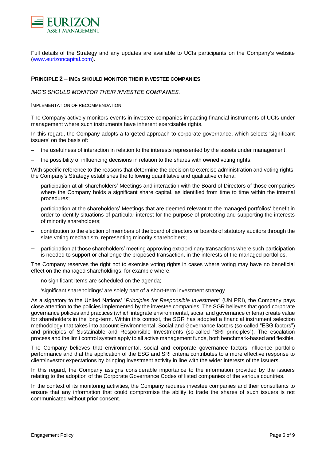

Full details of the Strategy and any updates are available to UCIs participants on the Company's website [\(www.eurizoncapital.com\)](http://www.eurizoncapital.com/).

#### <span id="page-5-0"></span>**PRINCIPLE 2 – IMC<sup>S</sup> SHOULD MONITOR THEIR INVESTEE COMPANIES**

*IMC'S SHOULD MONITOR THEIR INVESTEE COMPANIES.*

IMPLEMENTATION OF RECOMMENDATION:

The Company actively monitors events in investee companies impacting financial instruments of UCIs under management where such instruments have inherent exercisable rights.

In this regard, the Company adopts a targeted approach to corporate governance, which selects 'significant issuers' on the basis of:

- the usefulness of interaction in relation to the interests represented by the assets under management;
- the possibility of influencing decisions in relation to the shares with owned voting rights.

With specific reference to the reasons that determine the decision to exercise administration and voting rights, the Company's Strategy establishes the following quantitative and qualitative criteria:

- − participation at all shareholders' Meetings and interaction with the Board of Directors of those companies where the Company holds a significant share capital, as identified from time to time within the internal procedures;
- participation at the shareholders' Meetings that are deemed relevant to the managed portfolios' benefit in order to identify situations of particular interest for the purpose of protecting and supporting the interests of minority shareholders;
- contribution to the election of members of the board of directors or boards of statutory auditors through the slate voting mechanism, representing minority shareholders;
- participation at those shareholders' meeting approving extraordinary transactions where such participation is needed to support or challenge the proposed transaction, in the interests of the managed portfolios.

The Company reserves the right not to exercise voting rights in cases where voting may have no beneficial effect on the managed shareholdings, for example where:

- no significant items are scheduled on the agenda;
- 'significant shareholdings' are solely part of a short-term investment strategy.

As a signatory to the United Nations' "*Principles for Responsible Investment*" (UN PRI), the Company pays close attention to the policies implemented by the investee companies. The SGR believes that good corporate governance policies and practices (which integrate environmental, social and governance criteria) create value for shareholders in the long-term. Within this context, the SGR has adopted a financial instrument selection methodology that takes into account Environmental, Social and Governance factors (so-called "ESG factors") and principles of Sustainable and Responsible Investments (so-called "SRI principles"). The escalation process and the limit control system apply to all active management funds, both benchmark-based and flexible.

The Company believes that environmental, social and corporate governance factors influence portfolio performance and that the application of the ESG and SRI criteria contributes to a more effective response to client/investor expectations by bringing investment activity in line with the wider interests of the issuers.

In this regard, the Company assigns considerable importance to the information provided by the issuers relating to the adoption of the Corporate Governance Codes of listed companies of the various countries.

In the context of its monitoring activities, the Company requires investee companies and their consultants to ensure that any information that could compromise the ability to trade the shares of such issuers is not communicated without prior consent.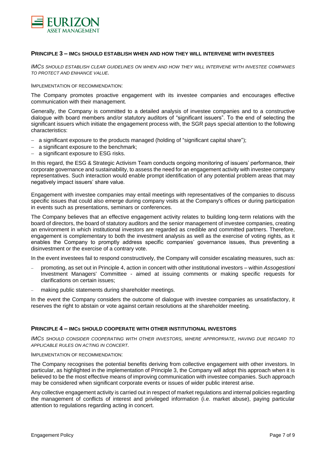

#### <span id="page-6-0"></span>**PRINCIPLE 3 – IMC<sup>S</sup> SHOULD ESTABLISH WHEN AND HOW THEY WILL INTERVENE WITH INVESTEES**

*IMCS SHOULD ESTABLISH CLEAR GUIDELINES ON WHEN AND HOW THEY WILL INTERVENE WITH INVESTEE COMPANIES TO PROTECT AND ENHANCE VALUE.*

#### IMPLEMENTATION OF RECOMMENDATION:

The Company promotes proactive engagement with its investee companies and encourages effective communication with their management.

Generally, the Company is committed to a detailed analysis of investee companies and to a constructive dialogue with board members and/or statutory auditors of "significant issuers". To the end of selecting the significant issuers which initiate the engagement process with, the SGR pays special attention to the following characteristics:

- − a significant exposure to the products managed (holding of "significant capital share");
- − a significant exposure to the benchmark;
- a significant exposure to ESG risks.

In this regard, the ESG & Strategic Activism Team conducts ongoing monitoring of issuers' performance, their corporate governance and sustainability, to assess the need for an engagement activity with investee company representatives. Such interaction would enable prompt identification of any potential problem areas that may negatively impact issuers' share value.

Engagement with investee companies may entail meetings with representatives of the companies to discuss specific issues that could also emerge during company visits at the Company's offices or during participation in events such as presentations, seminars or conferences.

The Company believes that an effective engagement activity relates to building long-term relations with the board of directors, the board of statutory auditors and the senior management of investee companies, creating an environment in which institutional investors are regarded as credible and committed partners. Therefore, engagement is complementary to both the investment analysis as well as the exercise of voting rights, as it enables the Company to promptly address specific companies' governance issues, thus preventing a disinvestment or the exercise of a contrary vote.

In the event investees fail to respond constructively, the Company will consider escalating measures, such as:

- − promoting, as set out in Principle 4, action in concert with other institutional investors within *Assogestioni* Investment Managers' Committee - aimed at issuing comments or making specific requests for clarifications on certain issues;
- making public statements during shareholder meetings.

In the event the Company considers the outcome of dialogue with investee companies as unsatisfactory, it reserves the right to abstain or vote against certain resolutions at the shareholder meeting.

#### <span id="page-6-1"></span>**PRINCIPLE 4 – IMC<sup>S</sup> SHOULD COOPERATE WITH OTHER INSTITUTIONAL INVESTORS**

*IMCS SHOULD CONSIDER COOPERATING WITH OTHER INVESTORS, WHERE APPROPRIATE, HAVING DUE REGARD TO APPLICABLE RULES ON ACTING IN CONCERT.*

#### IMPLEMENTATION OF RECOMMENDATION:

The Company recognises the potential benefits deriving from collective engagement with other investors. In particular, as highlighted in the implementation of Principle 3, the Company will adopt this approach when it is believed to be the most effective means of improving communication with investee companies. Such approach may be considered when significant corporate events or issues of wider public interest arise.

Any collective engagement activity is carried out in respect of market regulations and internal policies regarding the management of conflicts of interest and privileged information (i.e. market abuse), paying particular attention to regulations regarding acting in concert.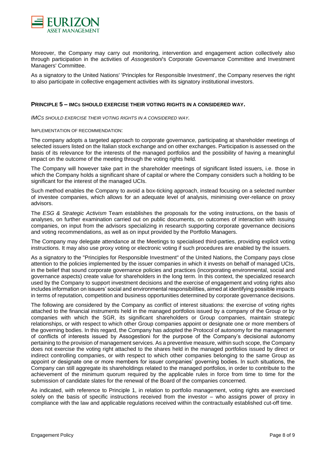

Moreover, the Company may carry out monitoring, intervention and engagement action collectively also through participation in the activities of *Assogestioni*'s Corporate Governance Committee and Investment Managers' Committee.

As a signatory to the United Nations' 'Principles for Responsible Investment', the Company reserves the right to also participate in collective engagement activities with its signatory institutional investors.

#### <span id="page-7-0"></span>**PRINCIPLE 5 – IMC<sup>S</sup> SHOULD EXERCISE THEIR VOTING RIGHTS IN A CONSIDERED WAY.**

*IMCS SHOULD EXERCISE THEIR VOTING RIGHTS IN A CONSIDERED WAY.*

#### IMPLEMENTATION OF RECOMMENDATION:

The company adopts a targeted approach to corporate governance, participating at shareholder meetings of selected issuers listed on the Italian stock exchange and on other exchanges. Participation is assessed on the basis of its relevance for the interests of the managed portfolios and the possibility of having a meaningful impact on the outcome of the meeting through the voting rights held.

The Company will however take part in the shareholder meetings of significant listed issuers, i.e. those in which the Company holds a significant share of capital or where the Company considers such a holding to be significant for the interest of the managed UCIs.

Such method enables the Company to avoid a box-ticking approach, instead focusing on a selected number of investee companies, which allows for an adequate level of analysis, minimising over-reliance on proxy advisors.

The *ESG & Strategic Activism* Team establishes the proposals for the voting instructions, on the basis of analyses, on further examination carried out on public documents, on outcomes of interaction with issuing companies, on input from the advisors specializing in research supporting corporate governance decisions and voting recommendations, as well as on input provided by the Portfolio Managers.

The Company may delegate attendance at the Meetings to specialised third-parties, providing explicit voting instructions. It may also use proxy voting or electronic voting if such procedures are enabled by the issuers.

As a signatory to the "Principles for Responsible Investment" of the United Nations, the Company pays close attention to the policies implemented by the issuer companies in which it invests on behalf of managed UCIs, in the belief that sound corporate governance policies and practices (incorporating environmental, social and governance aspects) create value for shareholders in the long term. In this context, the specialized research used by the Company to support investment decisions and the exercise of engagement and voting rights also includes information on issuers' social and environmental responsibilities, aimed at identifying possible impacts in terms of reputation, competition and business opportunities determined by corporate governance decisions.

The following are considered by the Company as conflict of interest situations: the exercise of voting rights attached to the financial instruments held in the managed portfolios issued by a company of the Group or by companies with which the SGR, its significant shareholders or Group companies, maintain strategic relationships, or with respect to which other Group companies appoint or designate one or more members of the governing bodies. In this regard, the Company has adopted the Protocol of autonomy for the management of conflicts of interests issued by Assogestioni for the purpose of the Company's decisional autonomy pertaining to the provision of management services. As a preventive measure, within such scope, the Company does not exercise the voting right attached to the shares held in the managed portfolios issued by direct or indirect controlling companies, or with respect to which other companies belonging to the same Group as appoint or designate one or more members for issuer companies' governing bodies. In such situations, the Company can still aggregate its shareholdings related to the managed portfolios, in order to contribute to the achievement of the minimum quorum required by the applicable rules in force from time to time for the submission of candidate slates for the renewal of the Board of the companies concerned.

As indicated, with reference to Principle 1, in relation to portfolio management, voting rights are exercised solely on the basis of specific instructions received from the investor – who assigns power of proxy in compliance with the law and applicable regulations received within the contractually established cut-off time.